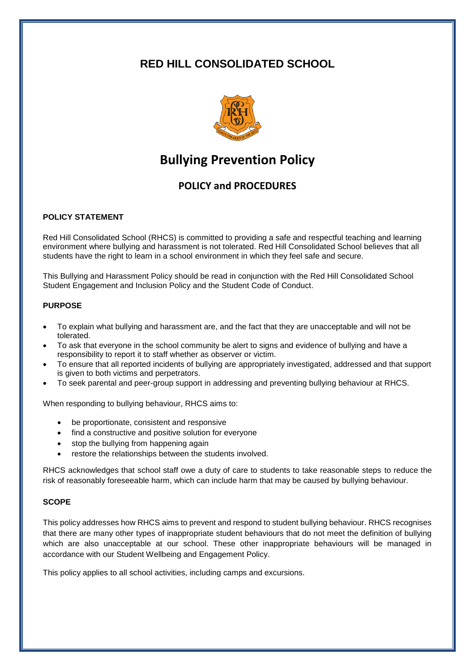## **RED HILL CONSOLIDATED SCHOOL**



# **Bullying Prevention Policy**

### **POLICY and PROCEDURES**

#### **POLICY STATEMENT**

Red Hill Consolidated School (RHCS) is committed to providing a safe and respectful teaching and learning environment where bullying and harassment is not tolerated. Red Hill Consolidated School believes that all students have the right to learn in a school environment in which they feel safe and secure.

This Bullying and Harassment Policy should be read in conjunction with the Red Hill Consolidated School Student Engagement and Inclusion Policy and the Student Code of Conduct.

#### **PURPOSE**

- To explain what bullying and harassment are, and the fact that they are unacceptable and will not be tolerated.
- To ask that everyone in the school community be alert to signs and evidence of bullying and have a responsibility to report it to staff whether as observer or victim.
- To ensure that all reported incidents of bullying are appropriately investigated, addressed and that support is given to both victims and perpetrators.
- To seek parental and peer-group support in addressing and preventing bullying behaviour at RHCS.

When responding to bullying behaviour, RHCS aims to:

- be proportionate, consistent and responsive
- find a constructive and positive solution for everyone
- stop the bullying from happening again
- restore the relationships between the students involved.

RHCS acknowledges that school staff owe a duty of care to students to take reasonable steps to reduce the risk of reasonably foreseeable harm, which can include harm that may be caused by bullying behaviour.

#### **SCOPE**

This policy addresses how RHCS aims to prevent and respond to student bullying behaviour. RHCS recognises that there are many other types of inappropriate student behaviours that do not meet the definition of bullying which are also unacceptable at our school. These other inappropriate behaviours will be managed in accordance with our Student Wellbeing and Engagement Policy.

This policy applies to all school activities, including camps and excursions.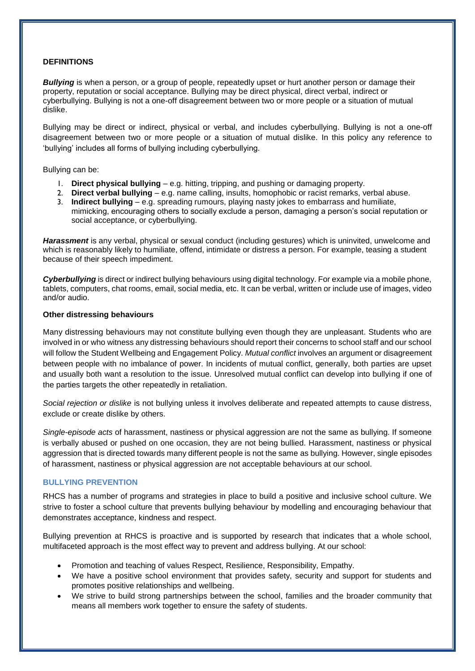#### **DEFINITIONS**

**Bullying** is when a person, or a group of people, repeatedly upset or hurt another person or damage their property, reputation or social acceptance. Bullying may be direct physical, direct verbal, indirect or cyberbullying. Bullying is not a one-off disagreement between two or more people or a situation of mutual dislike.

Bullying may be direct or indirect, physical or verbal, and includes cyberbullying. Bullying is not a one-off disagreement between two or more people or a situation of mutual dislike. In this policy any reference to 'bullying' includes all forms of bullying including cyberbullying.

#### Bullying can be:

- 1. **Direct physical bullying** e.g. hitting, tripping, and pushing or damaging property.
- 2. **Direct verbal bullying** e.g. name calling, insults, homophobic or racist remarks, verbal abuse.
- 3. **Indirect bullying** e.g. spreading rumours, playing nasty jokes to embarrass and humiliate, mimicking, encouraging others to socially exclude a person, damaging a person's social reputation or social acceptance, or cyberbullying.

*Harassment* is any verbal, physical or sexual conduct (including gestures) which is uninvited, unwelcome and which is reasonably likely to humiliate, offend, intimidate or distress a person. For example, teasing a student because of their speech impediment.

*Cyberbullying* is direct or indirect bullying behaviours using digital technology. For example via a mobile phone, tablets, computers, chat rooms, email, social media, etc. It can be verbal, written or include use of images, video and/or audio.

#### **Other distressing behaviours**

Many distressing behaviours may not constitute bullying even though they are unpleasant. Students who are involved in or who witness any distressing behaviours should report their concerns to school staff and our school will follow the Student Wellbeing and Engagement Policy. *Mutual conflict* involves an argument or disagreement between people with no imbalance of power. In incidents of mutual conflict, generally, both parties are upset and usually both want a resolution to the issue. Unresolved mutual conflict can develop into bullying if one of the parties targets the other repeatedly in retaliation.

*Social rejection or dislike* is not bullying unless it involves deliberate and repeated attempts to cause distress, exclude or create dislike by others.

*Single-episode acts* of harassment, nastiness or physical aggression are not the same as bullying. If someone is verbally abused or pushed on one occasion, they are not being bullied. Harassment, nastiness or physical aggression that is directed towards many different people is not the same as bullying. However, single episodes of harassment, nastiness or physical aggression are not acceptable behaviours at our school.

#### **BULLYING PREVENTION**

RHCS has a number of programs and strategies in place to build a positive and inclusive school culture. We strive to foster a school culture that prevents bullying behaviour by modelling and encouraging behaviour that demonstrates acceptance, kindness and respect.

Bullying prevention at RHCS is proactive and is supported by research that indicates that a whole school, multifaceted approach is the most effect way to prevent and address bullying. At our school:

- Promotion and teaching of values Respect, Resilience, Responsibility, Empathy.
- We have a positive school environment that provides safety, security and support for students and promotes positive relationships and wellbeing.
- We strive to build strong partnerships between the school, families and the broader community that means all members work together to ensure the safety of students.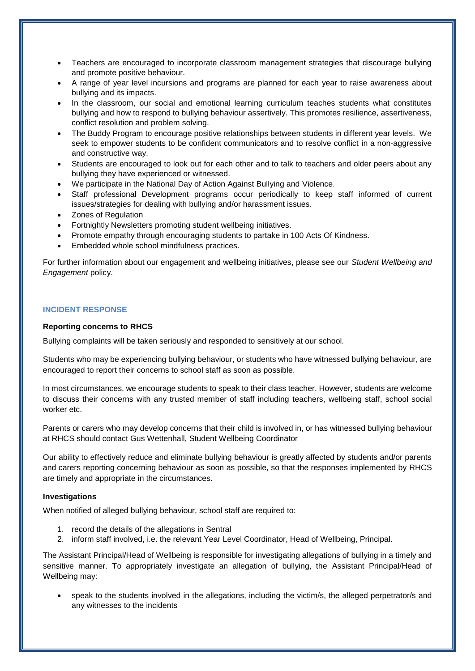- Teachers are encouraged to incorporate classroom management strategies that discourage bullying and promote positive behaviour.
- A range of year level incursions and programs are planned for each year to raise awareness about bullying and its impacts.
- In the classroom, our social and emotional learning curriculum teaches students what constitutes bullying and how to respond to bullying behaviour assertively. This promotes resilience, assertiveness, conflict resolution and problem solving.
- The Buddy Program to encourage positive relationships between students in different year levels. We seek to empower students to be confident communicators and to resolve conflict in a non-aggressive and constructive way.
- Students are encouraged to look out for each other and to talk to teachers and older peers about any bullying they have experienced or witnessed.
- We participate in the National Day of Action Against Bullying and Violence.
- Staff professional Development programs occur periodically to keep staff informed of current issues/strategies for dealing with bullying and/or harassment issues.
- Zones of Regulation
- Fortnightly Newsletters promoting student wellbeing initiatives.
- Promote empathy through encouraging students to partake in 100 Acts Of Kindness.
- Embedded whole school mindfulness practices.

For further information about our engagement and wellbeing initiatives, please see our *Student Wellbeing and Engagement* policy.

#### **INCIDENT RESPONSE**

#### **Reporting concerns to RHCS**

Bullying complaints will be taken seriously and responded to sensitively at our school.

Students who may be experiencing bullying behaviour, or students who have witnessed bullying behaviour, are encouraged to report their concerns to school staff as soon as possible.

In most circumstances, we encourage students to speak to their class teacher. However, students are welcome to discuss their concerns with any trusted member of staff including teachers, wellbeing staff, school social worker etc.

Parents or carers who may develop concerns that their child is involved in, or has witnessed bullying behaviour at RHCS should contact Gus Wettenhall, Student Wellbeing Coordinator

Our ability to effectively reduce and eliminate bullying behaviour is greatly affected by students and/or parents and carers reporting concerning behaviour as soon as possible, so that the responses implemented by RHCS are timely and appropriate in the circumstances.

#### **Investigations**

When notified of alleged bullying behaviour, school staff are required to:

- 1. record the details of the allegations in Sentral
- 2. inform staff involved, i.e. the relevant Year Level Coordinator, Head of Wellbeing, Principal.

The Assistant Principal/Head of Wellbeing is responsible for investigating allegations of bullying in a timely and sensitive manner. To appropriately investigate an allegation of bullying, the Assistant Principal/Head of Wellbeing may:

 speak to the students involved in the allegations, including the victim/s, the alleged perpetrator/s and any witnesses to the incidents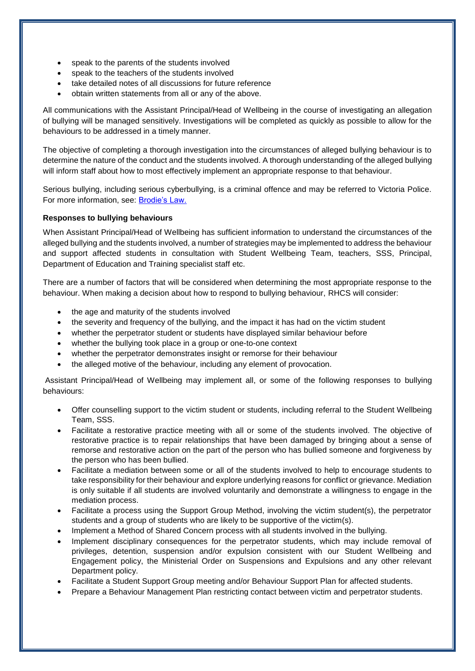- speak to the parents of the students involved
- speak to the teachers of the students involved
- take detailed notes of all discussions for future reference
- obtain written statements from all or any of the above.

All communications with the Assistant Principal/Head of Wellbeing in the course of investigating an allegation of bullying will be managed sensitively. Investigations will be completed as quickly as possible to allow for the behaviours to be addressed in a timely manner.

The objective of completing a thorough investigation into the circumstances of alleged bullying behaviour is to determine the nature of the conduct and the students involved. A thorough understanding of the alleged bullying will inform staff about how to most effectively implement an appropriate response to that behaviour.

Serious bullying, including serious cyberbullying, is a criminal offence and may be referred to Victoria Police. For more information, see: [Brodie's Law.](http://www.education.vic.gov.au/about/programs/bullystoppers/Pages/advicesheetbrodieslaw.aspx)

#### **Responses to bullying behaviours**

When Assistant Principal/Head of Wellbeing has sufficient information to understand the circumstances of the alleged bullying and the students involved, a number of strategies may be implemented to address the behaviour and support affected students in consultation with Student Wellbeing Team, teachers, SSS, Principal, Department of Education and Training specialist staff etc.

There are a number of factors that will be considered when determining the most appropriate response to the behaviour. When making a decision about how to respond to bullying behaviour, RHCS will consider:

- the age and maturity of the students involved
- the severity and frequency of the bullying, and the impact it has had on the victim student
- whether the perpetrator student or students have displayed similar behaviour before
- whether the bullying took place in a group or one-to-one context
- whether the perpetrator demonstrates insight or remorse for their behaviour
- the alleged motive of the behaviour, including any element of provocation.

Assistant Principal/Head of Wellbeing may implement all, or some of the following responses to bullying behaviours:

- Offer counselling support to the victim student or students, including referral to the Student Wellbeing Team, SSS.
- Facilitate a restorative practice meeting with all or some of the students involved. The objective of restorative practice is to repair relationships that have been damaged by bringing about a sense of remorse and restorative action on the part of the person who has bullied someone and forgiveness by the person who has been bullied.
- Facilitate a mediation between some or all of the students involved to help to encourage students to take responsibility for their behaviour and explore underlying reasons for conflict or grievance. Mediation is only suitable if all students are involved voluntarily and demonstrate a willingness to engage in the mediation process.
- Facilitate a process using the Support Group Method, involving the victim student(s), the perpetrator students and a group of students who are likely to be supportive of the victim(s).
- Implement a Method of Shared Concern process with all students involved in the bullying.
- Implement disciplinary consequences for the perpetrator students, which may include removal of privileges, detention, suspension and/or expulsion consistent with our Student Wellbeing and Engagement policy, the Ministerial Order on Suspensions and Expulsions and any other relevant Department policy.
- Facilitate a Student Support Group meeting and/or Behaviour Support Plan for affected students.
- Prepare a Behaviour Management Plan restricting contact between victim and perpetrator students.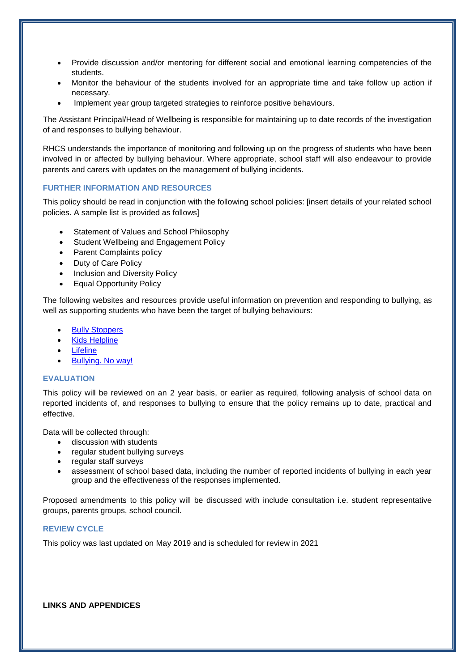- Provide discussion and/or mentoring for different social and emotional learning competencies of the students.
- Monitor the behaviour of the students involved for an appropriate time and take follow up action if necessary.
- Implement year group targeted strategies to reinforce positive behaviours.

The Assistant Principal/Head of Wellbeing is responsible for maintaining up to date records of the investigation of and responses to bullying behaviour.

RHCS understands the importance of monitoring and following up on the progress of students who have been involved in or affected by bullying behaviour. Where appropriate, school staff will also endeavour to provide parents and carers with updates on the management of bullying incidents.

#### **FURTHER INFORMATION AND RESOURCES**

This policy should be read in conjunction with the following school policies: [insert details of your related school policies. A sample list is provided as follows]

- Statement of Values and School Philosophy
- Student Wellbeing and Engagement Policy
- Parent Complaints policy
- Duty of Care Policy
- Inclusion and Diversity Policy
- Equal Opportunity Policy

The following websites and resources provide useful information on prevention and responding to bullying, as well as supporting students who have been the target of bullying behaviours:

- [Bully Stoppers](https://bullyingnoway.gov.au/PreventingBullying/Planning/Pages/School-policy.aspx)
- [Kids Helpline](https://kidshelpline.com.au/)
- **[Lifeline](https://www.lifeline.org.au/)**
- [Bullying. No way!](https://bullyingnoway.gov.au/PreventingBullying/Planning/Pages/School-policy.aspx)

#### **EVALUATION**

This policy will be reviewed on an 2 year basis, or earlier as required, following analysis of school data on reported incidents of, and responses to bullying to ensure that the policy remains up to date, practical and effective.

Data will be collected through:

- **•** discussion with students
- regular student bullying surveys
- regular staff surveys
- assessment of school based data, including the number of reported incidents of bullying in each year group and the effectiveness of the responses implemented.

Proposed amendments to this policy will be discussed with include consultation i.e. student representative groups, parents groups, school council.

#### **REVIEW CYCLE**

This policy was last updated on May 2019 and is scheduled for review in 2021

#### **LINKS AND APPENDICES**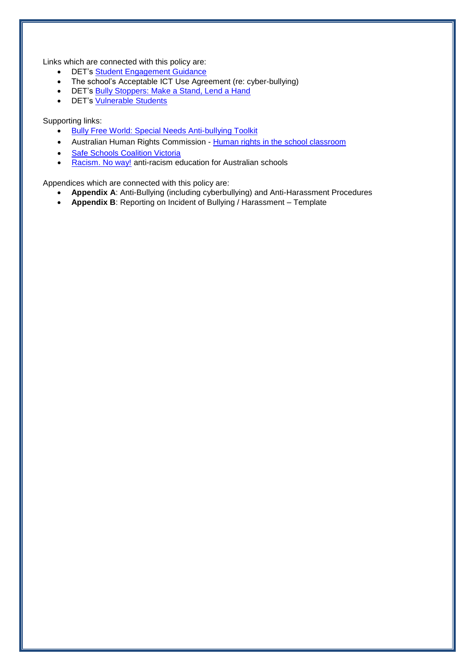Links which are connected with this policy are:

- DET's [Student Engagement Guidance](http://www.education.vic.gov.au/school/principals/participation/Pages/studentengagementguidance.aspx)
- The school's Acceptable ICT Use Agreement (re: cyber-bullying)
- DET's [Bully Stoppers: Make a Stand, Lend a Hand](http://www.education.vic.gov.au/about/programs/bullystoppers/Pages/default.aspx)
- DET's [Vulnerable](http://www.education.vic.gov.au/about/programs/bullystoppers/Pages/vulnerable.aspx) Students

#### Supporting links:

- **[Bully Free World: Special Needs Anti-bullying Toolkit](http://specialneeds.thebullyproject.com/toolkit)**
- Australian Human Rights Commission [Human rights in the school classroom](http://www.humanrights.gov.au/education/human-rights-school-classroom)
- [Safe Schools Coalition Victoria](http://safeschoolscoalitionvictoria.org.au/about/)
- [Racism. No way!](http://www.racismnoway.com.au/) anti-racism education for Australian schools

Appendices which are connected with this policy are:

- **Appendix A**: Anti-Bullying (including cyberbullying) and Anti-Harassment Procedures
- **Appendix B**: Reporting on Incident of Bullying / Harassment Template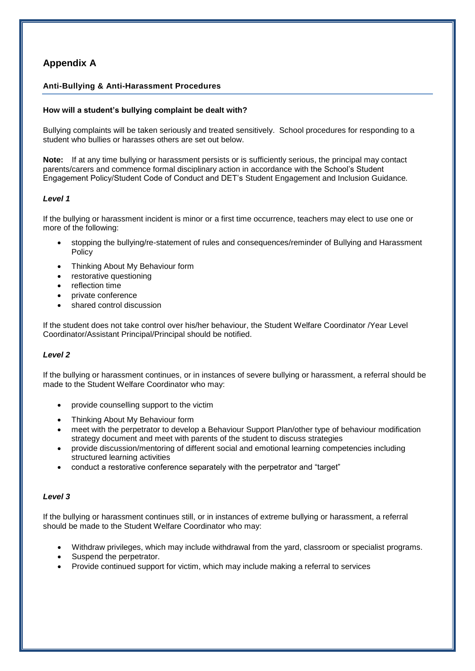### **Appendix A**

#### **Anti-Bullying & Anti-Harassment Procedures**

#### **How will a student's bullying complaint be dealt with?**

Bullying complaints will be taken seriously and treated sensitively. School procedures for responding to a student who bullies or harasses others are set out below.

**Note:** If at any time bullying or harassment persists or is sufficiently serious, the principal may contact parents/carers and commence formal disciplinary action in accordance with the School's Student Engagement Policy/Student Code of Conduct and DET's Student Engagement and Inclusion Guidance*.*

#### *Level 1*

If the bullying or harassment incident is minor or a first time occurrence, teachers may elect to use one or more of the following:

- stopping the bullying/re-statement of rules and consequences/reminder of Bullying and Harassment Policy
- Thinking About My Behaviour form
- restorative questioning
- reflection time
- private conference
- shared control discussion

If the student does not take control over his/her behaviour, the Student Welfare Coordinator /Year Level Coordinator/Assistant Principal/Principal should be notified.

#### *Level 2*

If the bullying or harassment continues, or in instances of severe bullying or harassment, a referral should be made to the Student Welfare Coordinator who may:

- provide counselling support to the victim
- Thinking About My Behaviour form
- meet with the perpetrator to develop a Behaviour Support Plan/other type of behaviour modification strategy document and meet with parents of the student to discuss strategies
- provide discussion/mentoring of different social and emotional learning competencies including structured learning activities
- conduct a restorative conference separately with the perpetrator and "target"

#### *Level 3*

If the bullying or harassment continues still, or in instances of extreme bullying or harassment, a referral should be made to the Student Welfare Coordinator who may:

- Withdraw privileges, which may include withdrawal from the yard, classroom or specialist programs.
- Suspend the perpetrator.
- Provide continued support for victim, which may include making a referral to services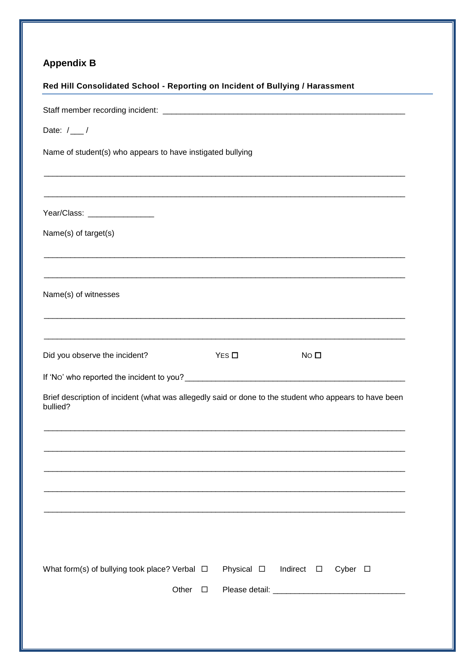# **Appendix B**

| Red Hill Consolidated School - Reporting on Incident of Bullying / Harassment                                      |       |        |                    |                    |                 |  |
|--------------------------------------------------------------------------------------------------------------------|-------|--------|--------------------|--------------------|-----------------|--|
|                                                                                                                    |       |        |                    |                    |                 |  |
| Date: $/$ /                                                                                                        |       |        |                    |                    |                 |  |
| Name of student(s) who appears to have instigated bullying                                                         |       |        |                    |                    |                 |  |
|                                                                                                                    |       |        |                    |                    |                 |  |
|                                                                                                                    |       |        |                    |                    |                 |  |
| Year/Class: __________________                                                                                     |       |        |                    |                    |                 |  |
| Name(s) of target(s)                                                                                               |       |        |                    |                    |                 |  |
|                                                                                                                    |       |        |                    |                    |                 |  |
| Name(s) of witnesses                                                                                               |       |        |                    |                    |                 |  |
|                                                                                                                    |       |        |                    |                    |                 |  |
| Did you observe the incident?                                                                                      |       |        | $Yes \Box$         | NO <sub>0</sub>    |                 |  |
|                                                                                                                    |       |        |                    |                    |                 |  |
| Brief description of incident (what was allegedly said or done to the student who appears to have been<br>bullied? |       |        |                    |                    |                 |  |
|                                                                                                                    |       |        |                    |                    |                 |  |
|                                                                                                                    |       |        |                    |                    |                 |  |
|                                                                                                                    |       |        |                    |                    |                 |  |
|                                                                                                                    |       |        |                    |                    |                 |  |
|                                                                                                                    |       |        |                    |                    |                 |  |
|                                                                                                                    |       |        |                    |                    |                 |  |
| What form(s) of bullying took place? Verbal $\Box$                                                                 |       |        | Physical $\square$ | Indirect $\square$ | Cyber $\square$ |  |
|                                                                                                                    | Other | $\Box$ |                    |                    |                 |  |
|                                                                                                                    |       |        |                    |                    |                 |  |